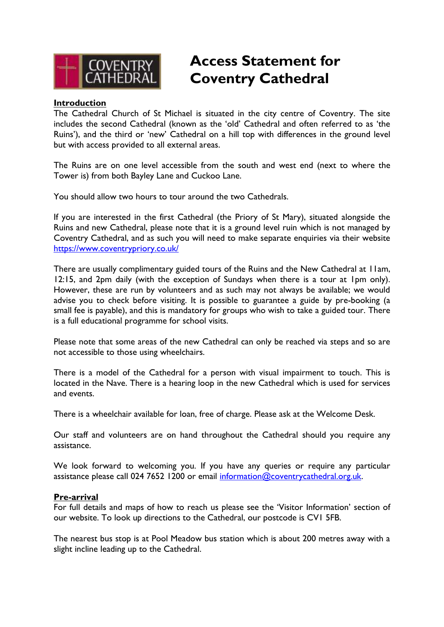

# **Access Statement for Coventry Cathedral**

## **Introduction**

The Cathedral Church of St Michael is situated in the city centre of Coventry. The site includes the second Cathedral (known as the 'old' Cathedral and often referred to as 'the Ruins'), and the third or 'new' Cathedral on a hill top with differences in the ground level but with access provided to all external areas.

The Ruins are on one level accessible from the south and west end (next to where the Tower is) from both Bayley Lane and Cuckoo Lane.

You should allow two hours to tour around the two Cathedrals.

If you are interested in the first Cathedral (the Priory of St Mary), situated alongside the Ruins and new Cathedral, please note that it is a ground level ruin which is not managed by Coventry Cathedral, and as such you will need to make separate enquiries via their website <https://www.coventrypriory.co.uk/>

There are usually complimentary guided tours of the Ruins and the New Cathedral at 11am, 12:15, and 2pm daily (with the exception of Sundays when there is a tour at 1pm only). However, these are run by volunteers and as such may not always be available; we would advise you to check before visiting. It is possible to guarantee a guide by pre-booking (a small fee is payable), and this is mandatory for groups who wish to take a guided tour. There is a full educational programme for school visits.

Please note that some areas of the new Cathedral can only be reached via steps and so are not accessible to those using wheelchairs.

There is a model of the Cathedral for a person with visual impairment to touch. This is located in the Nave. There is a hearing loop in the new Cathedral which is used for services and events.

There is a wheelchair available for loan, free of charge. Please ask at the Welcome Desk.

Our staff and volunteers are on hand throughout the Cathedral should you require any assistance.

We look forward to welcoming you. If you have any queries or require any particular assistance please call 024 7652 1200 or email [information@coventrycathedral.org.uk.](mailto:information@coventrycathedral.org.uk)

#### **Pre-arrival**

For full details and maps of how to reach us please see the 'Visitor Information' section of our website. To look up directions to the Cathedral, our postcode is CV1 5FB.

The nearest bus stop is at Pool Meadow bus station which is about 200 metres away with a slight incline leading up to the Cathedral.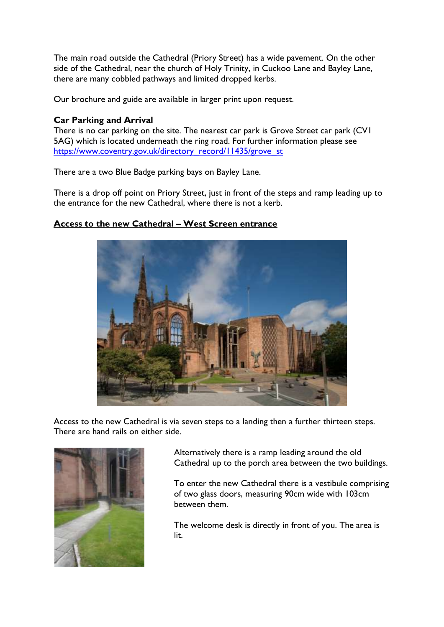The main road outside the Cathedral (Priory Street) has a wide pavement. On the other side of the Cathedral, near the church of Holy Trinity, in Cuckoo Lane and Bayley Lane, there are many cobbled pathways and limited dropped kerbs.

Our brochure and guide are available in larger print upon request.

# **Car Parking and Arrival**

There is no car parking on the site. The nearest car park is Grove Street car park (CV1 5AG) which is located underneath the ring road. For further information please see [https://www.coventry.gov.uk/directory\\_record/11435/grove\\_st](https://www.coventry.gov.uk/directory_record/11430/cox_st)

There are a two Blue Badge parking bays on Bayley Lane.

There is a drop off point on Priory Street, just in front of the steps and ramp leading up to the entrance for the new Cathedral, where there is not a kerb.

# **Access to the new Cathedral – West Screen entrance**



Access to the new Cathedral is via seven steps to a landing then a further thirteen steps. There are hand rails on either side.



Alternatively there is a ramp leading around the old Cathedral up to the porch area between the two buildings.

To enter the new Cathedral there is a vestibule comprising of two glass doors, measuring 90cm wide with 103cm between them.

The welcome desk is directly in front of you. The area is lit.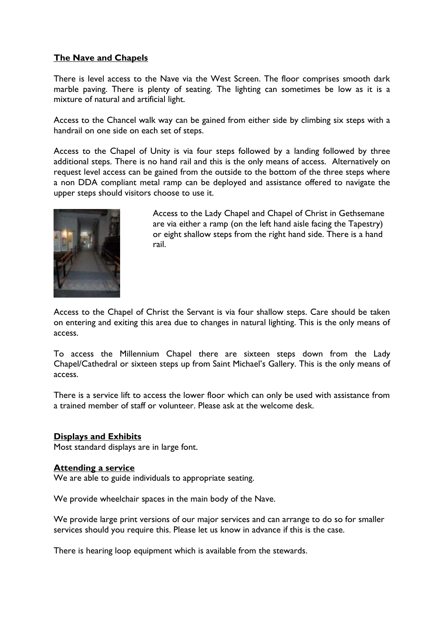# **The Nave and Chapels**

There is level access to the Nave via the West Screen. The floor comprises smooth dark marble paving. There is plenty of seating. The lighting can sometimes be low as it is a mixture of natural and artificial light.

Access to the Chancel walk way can be gained from either side by climbing six steps with a handrail on one side on each set of steps.

Access to the Chapel of Unity is via four steps followed by a landing followed by three additional steps. There is no hand rail and this is the only means of access. Alternatively on request level access can be gained from the outside to the bottom of the three steps where a non DDA compliant metal ramp can be deployed and assistance offered to navigate the upper steps should visitors choose to use it.



Access to the Lady Chapel and Chapel of Christ in Gethsemane are via either a ramp (on the left hand aisle facing the Tapestry) or eight shallow steps from the right hand side. There is a hand rail.

Access to the Chapel of Christ the Servant is via four shallow steps. Care should be taken on entering and exiting this area due to changes in natural lighting. This is the only means of access.

To access the Millennium Chapel there are sixteen steps down from the Lady Chapel/Cathedral or sixteen steps up from Saint Michael's Gallery. This is the only means of access.

There is a service lift to access the lower floor which can only be used with assistance from a trained member of staff or volunteer. Please ask at the welcome desk.

#### **Displays and Exhibits**

Most standard displays are in large font.

#### **Attending a service**

We are able to guide individuals to appropriate seating.

We provide wheelchair spaces in the main body of the Nave.

We provide large print versions of our major services and can arrange to do so for smaller services should you require this. Please let us know in advance if this is the case.

There is hearing loop equipment which is available from the stewards.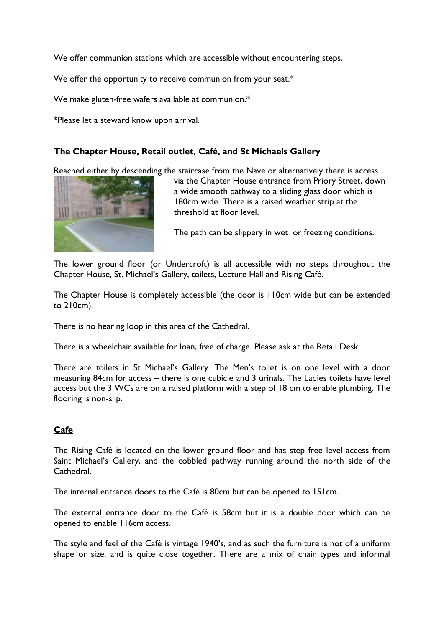We offer communion stations which are accessible without encountering steps.

We offer the opportunity to receive communion from your seat.\*

We make gluten-free wafers available at communion.\*

\*Please let a steward know upon arrival.

# **The Chapter House, Retail outlet, Café, and St Michaels Gallery**

Reached either by descending the staircase from the Nave or alternatively there is access



via the Chapter House entrance from Priory Street, down a wide smooth pathway to a sliding glass door which is 180cm wide. There is a raised weather strip at the threshold at floor level.

The path can be slippery in wet or freezing conditions.

The lower ground floor (or Undercroft) is all accessible with no steps throughout the Chapter House, St. Michael's Gallery, toilets, Lecture Hall and Rising Café.

The Chapter House is completely accessible (the door is 110cm wide but can be extended to 210cm).

There is no hearing loop in this area of the Cathedral.

There is a wheelchair available for loan, free of charge. Please ask at the Retail Desk.

There are toilets in St Michael's Gallery. The Men's toilet is on one level with a door measuring 84cm for access – there is one cubicle and 3 urinals. The Ladies toilets have level access but the 3 WCs are on a raised platform with a step of 18 cm to enable plumbing. The flooring is non-slip.

# **Cafe**

The Rising Café is located on the lower ground floor and has step free level access from Saint Michael's Gallery, and the cobbled pathway running around the north side of the Cathedral.

The internal entrance doors to the Café is 80cm but can be opened to 151cm.

The external entrance door to the Café is 58cm but it is a double door which can be opened to enable 116cm access.

The style and feel of the Café is vintage 1940's, and as such the furniture is not of a uniform shape or size, and is quite close together. There are a mix of chair types and informal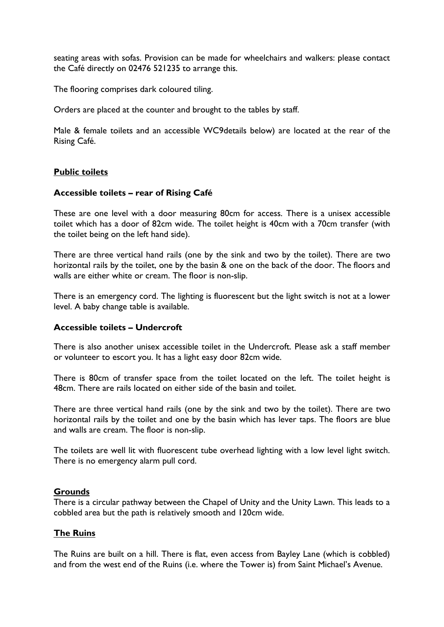seating areas with sofas. Provision can be made for wheelchairs and walkers: please contact the Café directly on 02476 521235 to arrange this.

The flooring comprises dark coloured tiling.

Orders are placed at the counter and brought to the tables by staff.

Male & female toilets and an accessible WC9details below) are located at the rear of the Rising Café.

# **Public toilets**

## **Accessible toilets – rear of Rising Café**

These are one level with a door measuring 80cm for access. There is a unisex accessible toilet which has a door of 82cm wide. The toilet height is 40cm with a 70cm transfer (with the toilet being on the left hand side).

There are three vertical hand rails (one by the sink and two by the toilet). There are two horizontal rails by the toilet, one by the basin & one on the back of the door. The floors and walls are either white or cream. The floor is non-slip.

There is an emergency cord. The lighting is fluorescent but the light switch is not at a lower level. A baby change table is available.

#### **Accessible toilets – Undercroft**

There is also another unisex accessible toilet in the Undercroft. Please ask a staff member or volunteer to escort you. It has a light easy door 82cm wide.

There is 80cm of transfer space from the toilet located on the left. The toilet height is 48cm. There are rails located on either side of the basin and toilet.

There are three vertical hand rails (one by the sink and two by the toilet). There are two horizontal rails by the toilet and one by the basin which has lever taps. The floors are blue and walls are cream. The floor is non-slip.

The toilets are well lit with fluorescent tube overhead lighting with a low level light switch. There is no emergency alarm pull cord.

#### **Grounds**

There is a circular pathway between the Chapel of Unity and the Unity Lawn. This leads to a cobbled area but the path is relatively smooth and 120cm wide.

#### **The Ruins**

The Ruins are built on a hill. There is flat, even access from Bayley Lane (which is cobbled) and from the west end of the Ruins (i.e. where the Tower is) from Saint Michael's Avenue.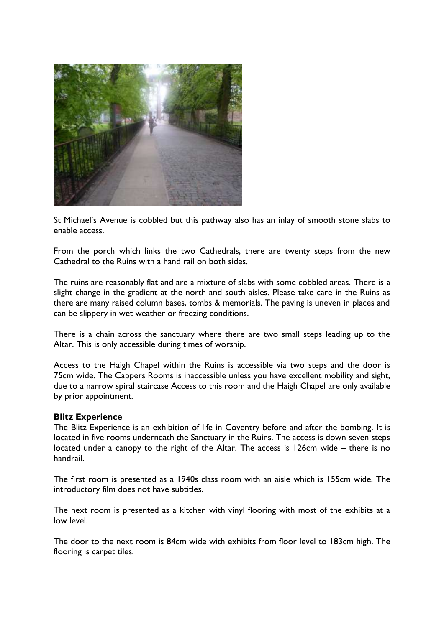

St Michael's Avenue is cobbled but this pathway also has an inlay of smooth stone slabs to enable access.

From the porch which links the two Cathedrals, there are twenty steps from the new Cathedral to the Ruins with a hand rail on both sides.

The ruins are reasonably flat and are a mixture of slabs with some cobbled areas. There is a slight change in the gradient at the north and south aisles. Please take care in the Ruins as there are many raised column bases, tombs & memorials. The paving is uneven in places and can be slippery in wet weather or freezing conditions.

There is a chain across the sanctuary where there are two small steps leading up to the Altar. This is only accessible during times of worship.

Access to the Haigh Chapel within the Ruins is accessible via two steps and the door is 75cm wide. The Cappers Rooms is inaccessible unless you have excellent mobility and sight, due to a narrow spiral staircase Access to this room and the Haigh Chapel are only available by prior appointment.

#### **Blitz Experience**

The Blitz Experience is an exhibition of life in Coventry before and after the bombing. It is located in five rooms underneath the Sanctuary in the Ruins. The access is down seven steps located under a canopy to the right of the Altar. The access is 126cm wide – there is no handrail.

The first room is presented as a 1940s class room with an aisle which is 155cm wide. The introductory film does not have subtitles.

The next room is presented as a kitchen with vinyl flooring with most of the exhibits at a low level.

The door to the next room is 84cm wide with exhibits from floor level to 183cm high. The flooring is carpet tiles.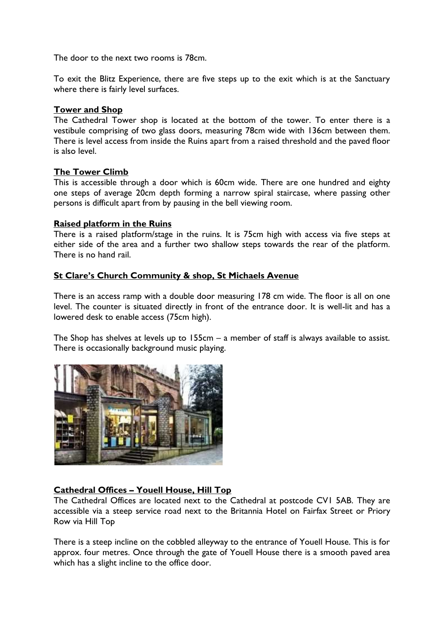The door to the next two rooms is 78cm.

To exit the Blitz Experience, there are five steps up to the exit which is at the Sanctuary where there is fairly level surfaces.

## **Tower and Shop**

The Cathedral Tower shop is located at the bottom of the tower. To enter there is a vestibule comprising of two glass doors, measuring 78cm wide with 136cm between them. There is level access from inside the Ruins apart from a raised threshold and the paved floor is also level.

# **The Tower Climb**

This is accessible through a door which is 60cm wide. There are one hundred and eighty one steps of average 20cm depth forming a narrow spiral staircase, where passing other persons is difficult apart from by pausing in the bell viewing room.

## **Raised platform in the Ruins**

There is a raised platform/stage in the ruins. It is 75cm high with access via five steps at either side of the area and a further two shallow steps towards the rear of the platform. There is no hand rail.

## **St Clare's Church Community & shop, St Michaels Avenue**

There is an access ramp with a double door measuring 178 cm wide. The floor is all on one level. The counter is situated directly in front of the entrance door. It is well-lit and has a lowered desk to enable access (75cm high).

The Shop has shelves at levels up to 155cm – a member of staff is always available to assist. There is occasionally background music playing.



# **Cathedral Offices – Youell House, Hill Top**

The Cathedral Offices are located next to the Cathedral at postcode CV1 5AB. They are accessible via a steep service road next to the Britannia Hotel on Fairfax Street or Priory Row via Hill Top

There is a steep incline on the cobbled alleyway to the entrance of Youell House. This is for approx. four metres. Once through the gate of Youell House there is a smooth paved area which has a slight incline to the office door.